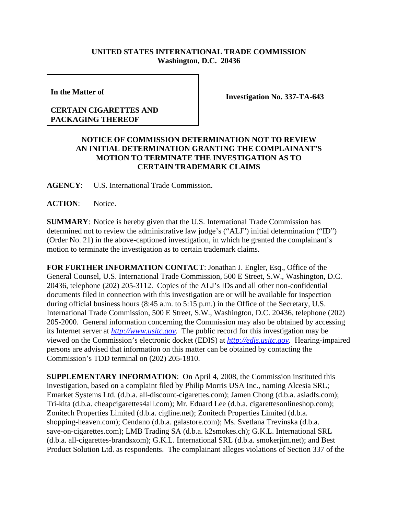## **UNITED STATES INTERNATIONAL TRADE COMMISSION Washington, D.C. 20436**

**In the Matter of** 

## **CERTAIN CIGARETTES AND PACKAGING THEREOF**

**Investigation No. 337-TA-643**

## **NOTICE OF COMMISSION DETERMINATION NOT TO REVIEW AN INITIAL DETERMINATION GRANTING THE COMPLAINANT'S MOTION TO TERMINATE THE INVESTIGATION AS TO CERTAIN TRADEMARK CLAIMS**

**AGENCY**: U.S. International Trade Commission.

ACTION: Notice.

**SUMMARY**: Notice is hereby given that the U.S. International Trade Commission has determined not to review the administrative law judge's ("ALJ") initial determination ("ID") (Order No. 21) in the above-captioned investigation, in which he granted the complainant's motion to terminate the investigation as to certain trademark claims.

**FOR FURTHER INFORMATION CONTACT**: Jonathan J. Engler, Esq., Office of the General Counsel, U.S. International Trade Commission, 500 E Street, S.W., Washington, D.C. 20436, telephone (202) 205-3112. Copies of the ALJ's IDs and all other non-confidential documents filed in connection with this investigation are or will be available for inspection during official business hours (8:45 a.m. to 5:15 p.m.) in the Office of the Secretary, U.S. International Trade Commission, 500 E Street, S.W., Washington, D.C. 20436, telephone (202) 205-2000. General information concerning the Commission may also be obtained by accessing its Internet server at *http://www.usitc.gov*. The public record for this investigation may be viewed on the Commission's electronic docket (EDIS) at *http://edis.usitc.gov*. Hearing-impaired persons are advised that information on this matter can be obtained by contacting the Commission's TDD terminal on (202) 205-1810.

**SUPPLEMENTARY INFORMATION**: On April 4, 2008, the Commission instituted this investigation, based on a complaint filed by Philip Morris USA Inc., naming Alcesia SRL; Emarket Systems Ltd. (d.b.a. all-discount-cigarettes.com); Jamen Chong (d.b.a. asiadfs.com); Tri-kita (d.b.a. cheapcigarettes4all.com); Mr. Eduard Lee (d.b.a. cigarettesonlineshop.com); Zonitech Properties Limited (d.b.a. cigline.net); Zonitech Properties Limited (d.b.a. shopping-heaven.com); Cendano (d.b.a. galastore.com); Ms. Svetlana Trevinska (d.b.a. save-on-cigarettes.com); LMB Trading SA (d.b.a. k2smokes.ch); G.K.L. International SRL (d.b.a. all-cigarettes-brandsxom); G.K.L. International SRL (d.b.a. smokerjim.net); and Best Product Solution Ltd. as respondents. The complainant alleges violations of Section 337 of the